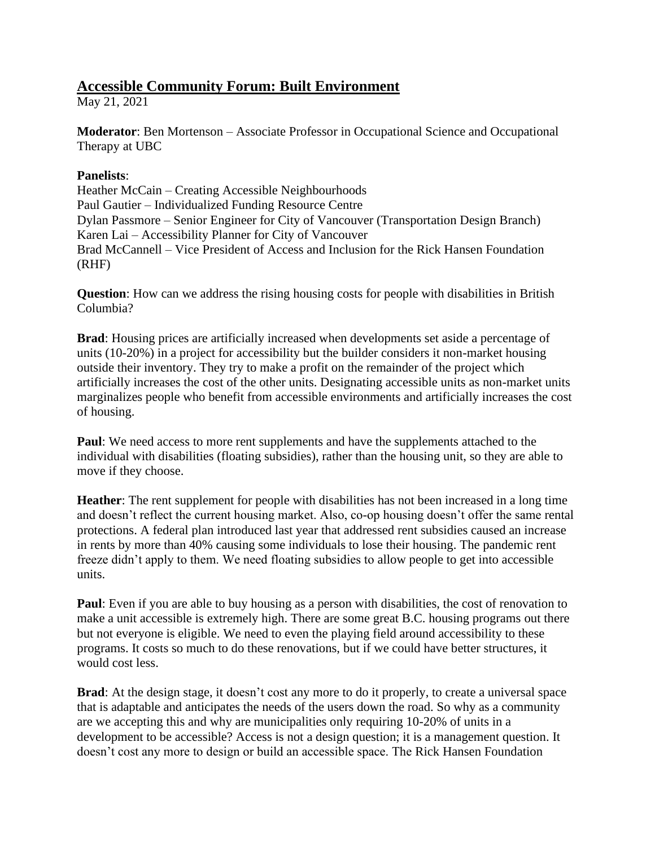## **Accessible Community Forum: Built Environment**

May 21, 2021

**Moderator**: Ben Mortenson – Associate Professor in Occupational Science and Occupational Therapy at UBC

## **Panelists**:

Heather McCain – Creating Accessible Neighbourhoods Paul Gautier – Individualized Funding Resource Centre Dylan Passmore – Senior Engineer for City of Vancouver (Transportation Design Branch) Karen Lai – Accessibility Planner for City of Vancouver Brad McCannell – Vice President of Access and Inclusion for the Rick Hansen Foundation (RHF)

**Question**: How can we address the rising housing costs for people with disabilities in British Columbia?

**Brad**: Housing prices are artificially increased when developments set aside a percentage of units (10-20%) in a project for accessibility but the builder considers it non-market housing outside their inventory. They try to make a profit on the remainder of the project which artificially increases the cost of the other units. Designating accessible units as non-market units marginalizes people who benefit from accessible environments and artificially increases the cost of housing.

**Paul**: We need access to more rent supplements and have the supplements attached to the individual with disabilities (floating subsidies), rather than the housing unit, so they are able to move if they choose.

**Heather**: The rent supplement for people with disabilities has not been increased in a long time and doesn't reflect the current housing market. Also, co-op housing doesn't offer the same rental protections. A federal plan introduced last year that addressed rent subsidies caused an increase in rents by more than 40% causing some individuals to lose their housing. The pandemic rent freeze didn't apply to them. We need floating subsidies to allow people to get into accessible units.

**Paul**: Even if you are able to buy housing as a person with disabilities, the cost of renovation to make a unit accessible is extremely high. There are some great B.C. housing programs out there but not everyone is eligible. We need to even the playing field around accessibility to these programs. It costs so much to do these renovations, but if we could have better structures, it would cost less.

**Brad**: At the design stage, it doesn't cost any more to do it properly, to create a universal space that is adaptable and anticipates the needs of the users down the road. So why as a community are we accepting this and why are municipalities only requiring 10-20% of units in a development to be accessible? Access is not a design question; it is a management question. It doesn't cost any more to design or build an accessible space. The Rick Hansen Foundation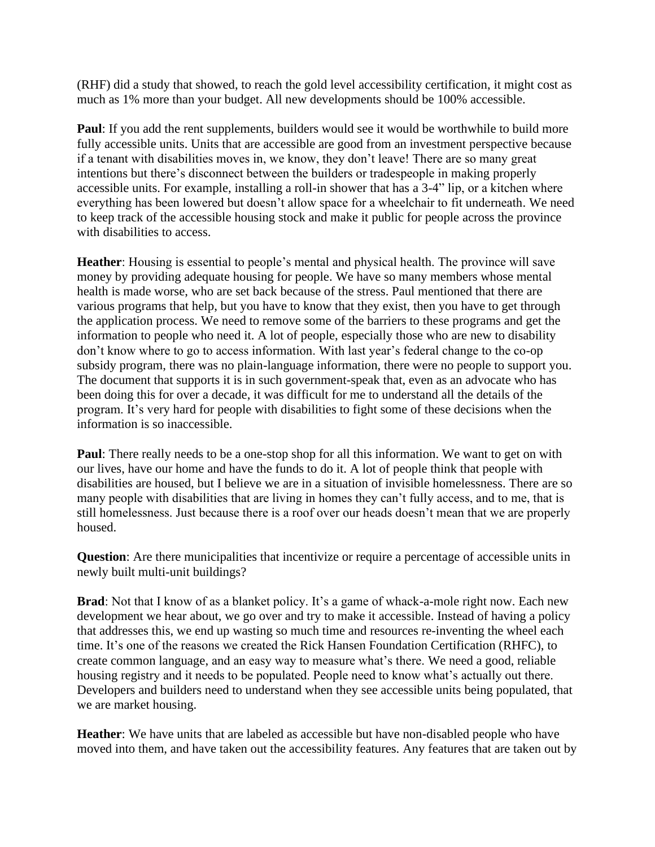(RHF) did a study that showed, to reach the gold level accessibility certification, it might cost as much as 1% more than your budget. All new developments should be 100% accessible.

**Paul**: If you add the rent supplements, builders would see it would be worthwhile to build more fully accessible units. Units that are accessible are good from an investment perspective because if a tenant with disabilities moves in, we know, they don't leave! There are so many great intentions but there's disconnect between the builders or tradespeople in making properly accessible units. For example, installing a roll-in shower that has a 3-4" lip, or a kitchen where everything has been lowered but doesn't allow space for a wheelchair to fit underneath. We need to keep track of the accessible housing stock and make it public for people across the province with disabilities to access.

**Heather**: Housing is essential to people's mental and physical health. The province will save money by providing adequate housing for people. We have so many members whose mental health is made worse, who are set back because of the stress. Paul mentioned that there are various programs that help, but you have to know that they exist, then you have to get through the application process. We need to remove some of the barriers to these programs and get the information to people who need it. A lot of people, especially those who are new to disability don't know where to go to access information. With last year's federal change to the co-op subsidy program, there was no plain-language information, there were no people to support you. The document that supports it is in such government-speak that, even as an advocate who has been doing this for over a decade, it was difficult for me to understand all the details of the program. It's very hard for people with disabilities to fight some of these decisions when the information is so inaccessible.

**Paul**: There really needs to be a one-stop shop for all this information. We want to get on with our lives, have our home and have the funds to do it. A lot of people think that people with disabilities are housed, but I believe we are in a situation of invisible homelessness. There are so many people with disabilities that are living in homes they can't fully access, and to me, that is still homelessness. Just because there is a roof over our heads doesn't mean that we are properly housed.

**Question**: Are there municipalities that incentivize or require a percentage of accessible units in newly built multi-unit buildings?

**Brad**: Not that I know of as a blanket policy. It's a game of whack-a-mole right now. Each new development we hear about, we go over and try to make it accessible. Instead of having a policy that addresses this, we end up wasting so much time and resources re-inventing the wheel each time. It's one of the reasons we created the Rick Hansen Foundation Certification (RHFC), to create common language, and an easy way to measure what's there. We need a good, reliable housing registry and it needs to be populated. People need to know what's actually out there. Developers and builders need to understand when they see accessible units being populated, that we are market housing.

**Heather**: We have units that are labeled as accessible but have non-disabled people who have moved into them, and have taken out the accessibility features. Any features that are taken out by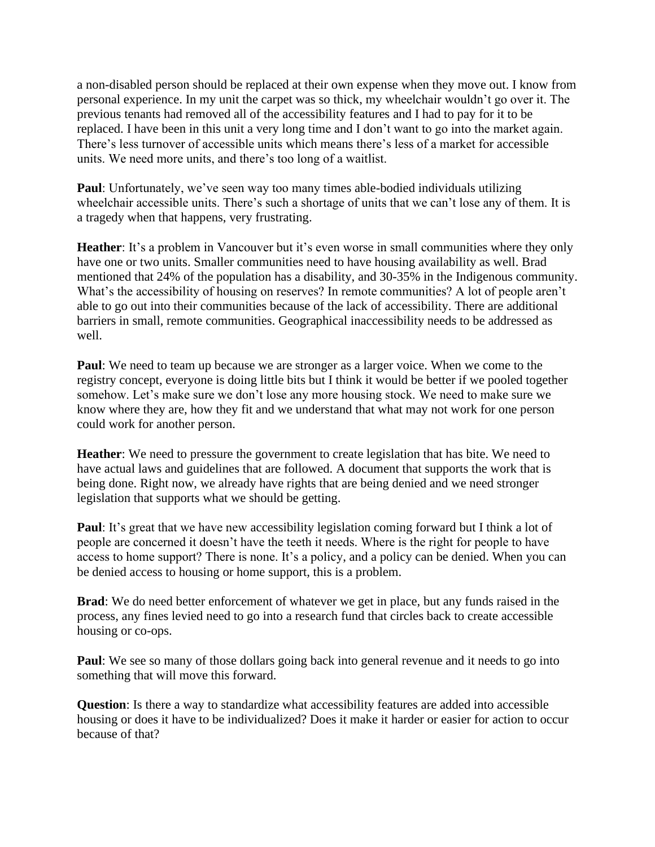a non-disabled person should be replaced at their own expense when they move out. I know from personal experience. In my unit the carpet was so thick, my wheelchair wouldn't go over it. The previous tenants had removed all of the accessibility features and I had to pay for it to be replaced. I have been in this unit a very long time and I don't want to go into the market again. There's less turnover of accessible units which means there's less of a market for accessible units. We need more units, and there's too long of a waitlist.

**Paul**: Unfortunately, we've seen way too many times able-bodied individuals utilizing wheelchair accessible units. There's such a shortage of units that we can't lose any of them. It is a tragedy when that happens, very frustrating.

**Heather**: It's a problem in Vancouver but it's even worse in small communities where they only have one or two units. Smaller communities need to have housing availability as well. Brad mentioned that 24% of the population has a disability, and 30-35% in the Indigenous community. What's the accessibility of housing on reserves? In remote communities? A lot of people aren't able to go out into their communities because of the lack of accessibility. There are additional barriers in small, remote communities. Geographical inaccessibility needs to be addressed as well.

**Paul**: We need to team up because we are stronger as a larger voice. When we come to the registry concept, everyone is doing little bits but I think it would be better if we pooled together somehow. Let's make sure we don't lose any more housing stock. We need to make sure we know where they are, how they fit and we understand that what may not work for one person could work for another person.

**Heather:** We need to pressure the government to create legislation that has bite. We need to have actual laws and guidelines that are followed. A document that supports the work that is being done. Right now, we already have rights that are being denied and we need stronger legislation that supports what we should be getting.

**Paul**: It's great that we have new accessibility legislation coming forward but I think a lot of people are concerned it doesn't have the teeth it needs. Where is the right for people to have access to home support? There is none. It's a policy, and a policy can be denied. When you can be denied access to housing or home support, this is a problem.

**Brad**: We do need better enforcement of whatever we get in place, but any funds raised in the process, any fines levied need to go into a research fund that circles back to create accessible housing or co-ops.

**Paul**: We see so many of those dollars going back into general revenue and it needs to go into something that will move this forward.

**Question**: Is there a way to standardize what accessibility features are added into accessible housing or does it have to be individualized? Does it make it harder or easier for action to occur because of that?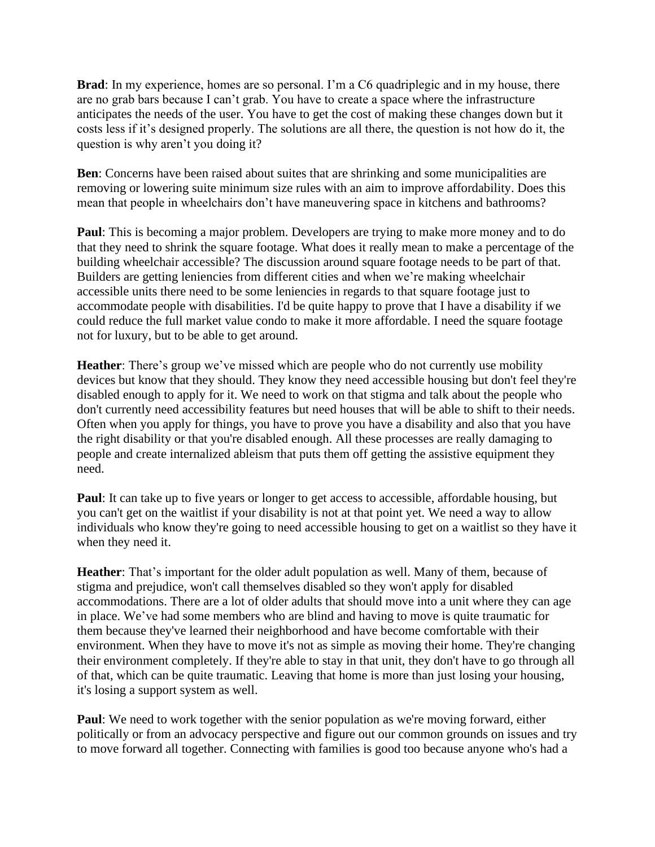**Brad**: In my experience, homes are so personal. I'm a C6 quadriplegic and in my house, there are no grab bars because I can't grab. You have to create a space where the infrastructure anticipates the needs of the user. You have to get the cost of making these changes down but it costs less if it's designed properly. The solutions are all there, the question is not how do it, the question is why aren't you doing it?

**Ben**: Concerns have been raised about suites that are shrinking and some municipalities are removing or lowering suite minimum size rules with an aim to improve affordability. Does this mean that people in wheelchairs don't have maneuvering space in kitchens and bathrooms?

**Paul**: This is becoming a major problem. Developers are trying to make more money and to do that they need to shrink the square footage. What does it really mean to make a percentage of the building wheelchair accessible? The discussion around square footage needs to be part of that. Builders are getting leniencies from different cities and when we're making wheelchair accessible units there need to be some leniencies in regards to that square footage just to accommodate people with disabilities. I'd be quite happy to prove that I have a disability if we could reduce the full market value condo to make it more affordable. I need the square footage not for luxury, but to be able to get around.

**Heather**: There's group we've missed which are people who do not currently use mobility devices but know that they should. They know they need accessible housing but don't feel they're disabled enough to apply for it. We need to work on that stigma and talk about the people who don't currently need accessibility features but need houses that will be able to shift to their needs. Often when you apply for things, you have to prove you have a disability and also that you have the right disability or that you're disabled enough. All these processes are really damaging to people and create internalized ableism that puts them off getting the assistive equipment they need.

**Paul**: It can take up to five years or longer to get access to accessible, affordable housing, but you can't get on the waitlist if your disability is not at that point yet. We need a way to allow individuals who know they're going to need accessible housing to get on a waitlist so they have it when they need it.

**Heather**: That's important for the older adult population as well. Many of them, because of stigma and prejudice, won't call themselves disabled so they won't apply for disabled accommodations. There are a lot of older adults that should move into a unit where they can age in place. We've had some members who are blind and having to move is quite traumatic for them because they've learned their neighborhood and have become comfortable with their environment. When they have to move it's not as simple as moving their home. They're changing their environment completely. If they're able to stay in that unit, they don't have to go through all of that, which can be quite traumatic. Leaving that home is more than just losing your housing, it's losing a support system as well.

**Paul**: We need to work together with the senior population as we're moving forward, either politically or from an advocacy perspective and figure out our common grounds on issues and try to move forward all together. Connecting with families is good too because anyone who's had a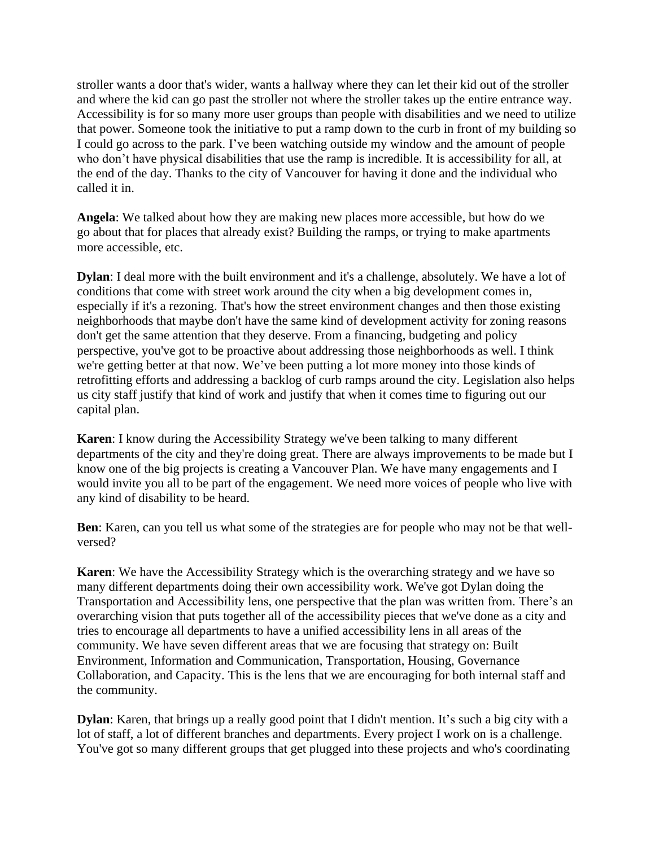stroller wants a door that's wider, wants a hallway where they can let their kid out of the stroller and where the kid can go past the stroller not where the stroller takes up the entire entrance way. Accessibility is for so many more user groups than people with disabilities and we need to utilize that power. Someone took the initiative to put a ramp down to the curb in front of my building so I could go across to the park. I've been watching outside my window and the amount of people who don't have physical disabilities that use the ramp is incredible. It is accessibility for all, at the end of the day. Thanks to the city of Vancouver for having it done and the individual who called it in.

**Angela**: We talked about how they are making new places more accessible, but how do we go about that for places that already exist? Building the ramps, or trying to make apartments more accessible, etc.

**Dylan**: I deal more with the built environment and it's a challenge, absolutely. We have a lot of conditions that come with street work around the city when a big development comes in, especially if it's a rezoning. That's how the street environment changes and then those existing neighborhoods that maybe don't have the same kind of development activity for zoning reasons don't get the same attention that they deserve. From a financing, budgeting and policy perspective, you've got to be proactive about addressing those neighborhoods as well. I think we're getting better at that now. We've been putting a lot more money into those kinds of retrofitting efforts and addressing a backlog of curb ramps around the city. Legislation also helps us city staff justify that kind of work and justify that when it comes time to figuring out our capital plan.

**Karen**: I know during the Accessibility Strategy we've been talking to many different departments of the city and they're doing great. There are always improvements to be made but I know one of the big projects is creating a Vancouver Plan. We have many engagements and I would invite you all to be part of the engagement. We need more voices of people who live with any kind of disability to be heard.

**Ben**: Karen, can you tell us what some of the strategies are for people who may not be that wellversed?

**Karen**: We have the Accessibility Strategy which is the overarching strategy and we have so many different departments doing their own accessibility work. We've got Dylan doing the Transportation and Accessibility lens, one perspective that the plan was written from. There's an overarching vision that puts together all of the accessibility pieces that we've done as a city and tries to encourage all departments to have a unified accessibility lens in all areas of the community. We have seven different areas that we are focusing that strategy on: Built Environment, Information and Communication, Transportation, Housing, Governance Collaboration, and Capacity. This is the lens that we are encouraging for both internal staff and the community.

**Dylan**: Karen, that brings up a really good point that I didn't mention. It's such a big city with a lot of staff, a lot of different branches and departments. Every project I work on is a challenge. You've got so many different groups that get plugged into these projects and who's coordinating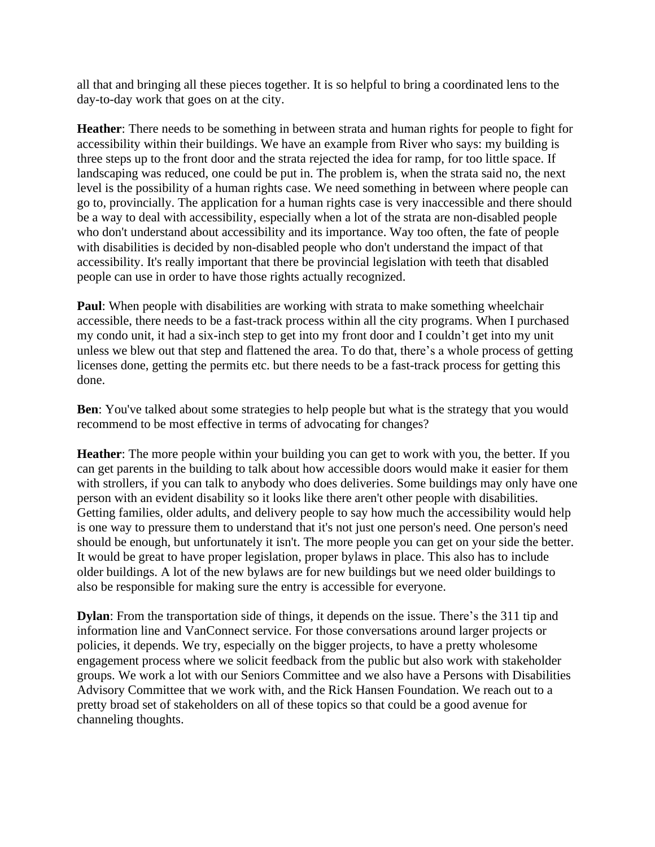all that and bringing all these pieces together. It is so helpful to bring a coordinated lens to the day-to-day work that goes on at the city.

**Heather**: There needs to be something in between strata and human rights for people to fight for accessibility within their buildings. We have an example from River who says: my building is three steps up to the front door and the strata rejected the idea for ramp, for too little space. If landscaping was reduced, one could be put in. The problem is, when the strata said no, the next level is the possibility of a human rights case. We need something in between where people can go to, provincially. The application for a human rights case is very inaccessible and there should be a way to deal with accessibility, especially when a lot of the strata are non-disabled people who don't understand about accessibility and its importance. Way too often, the fate of people with disabilities is decided by non-disabled people who don't understand the impact of that accessibility. It's really important that there be provincial legislation with teeth that disabled people can use in order to have those rights actually recognized.

**Paul**: When people with disabilities are working with strata to make something wheelchair accessible, there needs to be a fast-track process within all the city programs. When I purchased my condo unit, it had a six-inch step to get into my front door and I couldn't get into my unit unless we blew out that step and flattened the area. To do that, there's a whole process of getting licenses done, getting the permits etc. but there needs to be a fast-track process for getting this done.

**Ben**: You've talked about some strategies to help people but what is the strategy that you would recommend to be most effective in terms of advocating for changes?

**Heather**: The more people within your building you can get to work with you, the better. If you can get parents in the building to talk about how accessible doors would make it easier for them with strollers, if you can talk to anybody who does deliveries. Some buildings may only have one person with an evident disability so it looks like there aren't other people with disabilities. Getting families, older adults, and delivery people to say how much the accessibility would help is one way to pressure them to understand that it's not just one person's need. One person's need should be enough, but unfortunately it isn't. The more people you can get on your side the better. It would be great to have proper legislation, proper bylaws in place. This also has to include older buildings. A lot of the new bylaws are for new buildings but we need older buildings to also be responsible for making sure the entry is accessible for everyone.

**Dylan**: From the transportation side of things, it depends on the issue. There's the 311 tip and information line and VanConnect service. For those conversations around larger projects or policies, it depends. We try, especially on the bigger projects, to have a pretty wholesome engagement process where we solicit feedback from the public but also work with stakeholder groups. We work a lot with our Seniors Committee and we also have a Persons with Disabilities Advisory Committee that we work with, and the Rick Hansen Foundation. We reach out to a pretty broad set of stakeholders on all of these topics so that could be a good avenue for channeling thoughts.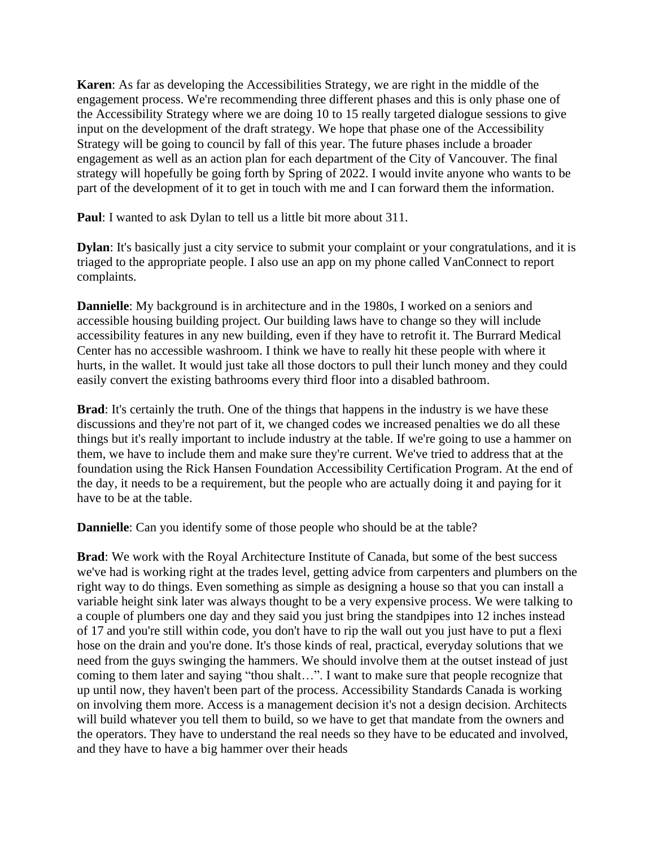**Karen**: As far as developing the Accessibilities Strategy, we are right in the middle of the engagement process. We're recommending three different phases and this is only phase one of the Accessibility Strategy where we are doing 10 to 15 really targeted dialogue sessions to give input on the development of the draft strategy. We hope that phase one of the Accessibility Strategy will be going to council by fall of this year. The future phases include a broader engagement as well as an action plan for each department of the City of Vancouver. The final strategy will hopefully be going forth by Spring of 2022. I would invite anyone who wants to be part of the development of it to get in touch with me and I can forward them the information.

**Paul**: I wanted to ask Dylan to tell us a little bit more about 311.

**Dylan**: It's basically just a city service to submit your complaint or your congratulations, and it is triaged to the appropriate people. I also use an app on my phone called VanConnect to report complaints.

**Dannielle**: My background is in architecture and in the 1980s, I worked on a seniors and accessible housing building project. Our building laws have to change so they will include accessibility features in any new building, even if they have to retrofit it. The Burrard Medical Center has no accessible washroom. I think we have to really hit these people with where it hurts, in the wallet. It would just take all those doctors to pull their lunch money and they could easily convert the existing bathrooms every third floor into a disabled bathroom.

**Brad**: It's certainly the truth. One of the things that happens in the industry is we have these discussions and they're not part of it, we changed codes we increased penalties we do all these things but it's really important to include industry at the table. If we're going to use a hammer on them, we have to include them and make sure they're current. We've tried to address that at the foundation using the Rick Hansen Foundation Accessibility Certification Program. At the end of the day, it needs to be a requirement, but the people who are actually doing it and paying for it have to be at the table.

**Dannielle**: Can you identify some of those people who should be at the table?

**Brad**: We work with the Royal Architecture Institute of Canada, but some of the best success we've had is working right at the trades level, getting advice from carpenters and plumbers on the right way to do things. Even something as simple as designing a house so that you can install a variable height sink later was always thought to be a very expensive process. We were talking to a couple of plumbers one day and they said you just bring the standpipes into 12 inches instead of 17 and you're still within code, you don't have to rip the wall out you just have to put a flexi hose on the drain and you're done. It's those kinds of real, practical, everyday solutions that we need from the guys swinging the hammers. We should involve them at the outset instead of just coming to them later and saying "thou shalt…". I want to make sure that people recognize that up until now, they haven't been part of the process. Accessibility Standards Canada is working on involving them more. Access is a management decision it's not a design decision. Architects will build whatever you tell them to build, so we have to get that mandate from the owners and the operators. They have to understand the real needs so they have to be educated and involved, and they have to have a big hammer over their heads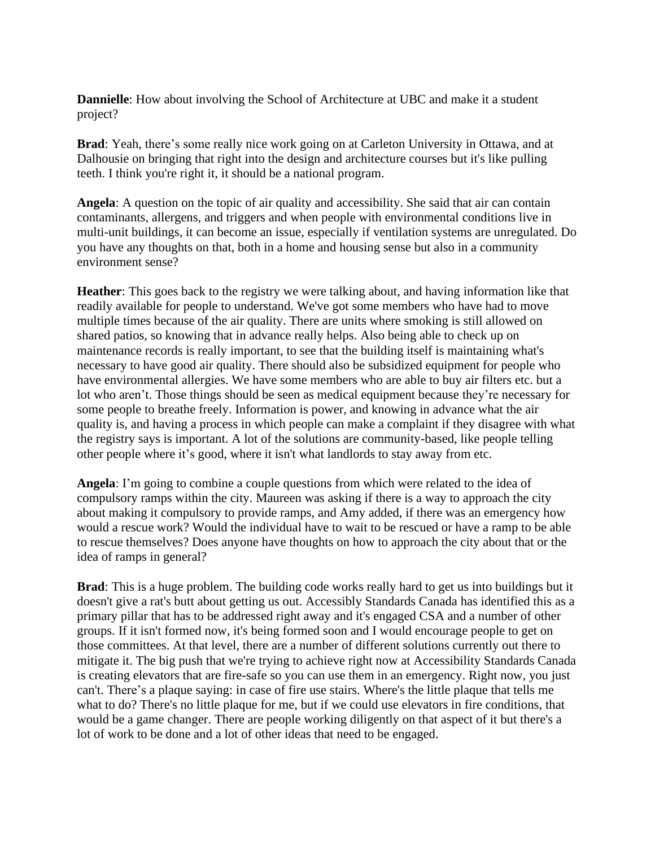**Dannielle**: How about involving the School of Architecture at UBC and make it a student project?

**Brad**: Yeah, there's some really nice work going on at Carleton University in Ottawa, and at Dalhousie on bringing that right into the design and architecture courses but it's like pulling teeth. I think you're right it, it should be a national program.

**Angela**: A question on the topic of air quality and accessibility. She said that air can contain contaminants, allergens, and triggers and when people with environmental conditions live in multi-unit buildings, it can become an issue, especially if ventilation systems are unregulated. Do you have any thoughts on that, both in a home and housing sense but also in a community environment sense?

**Heather**: This goes back to the registry we were talking about, and having information like that readily available for people to understand. We've got some members who have had to move multiple times because of the air quality. There are units where smoking is still allowed on shared patios, so knowing that in advance really helps. Also being able to check up on maintenance records is really important, to see that the building itself is maintaining what's necessary to have good air quality. There should also be subsidized equipment for people who have environmental allergies. We have some members who are able to buy air filters etc. but a lot who aren't. Those things should be seen as medical equipment because they're necessary for some people to breathe freely. Information is power, and knowing in advance what the air quality is, and having a process in which people can make a complaint if they disagree with what the registry says is important. A lot of the solutions are community-based, like people telling other people where it's good, where it isn't what landlords to stay away from etc.

**Angela**: I'm going to combine a couple questions from which were related to the idea of compulsory ramps within the city. Maureen was asking if there is a way to approach the city about making it compulsory to provide ramps, and Amy added, if there was an emergency how would a rescue work? Would the individual have to wait to be rescued or have a ramp to be able to rescue themselves? Does anyone have thoughts on how to approach the city about that or the idea of ramps in general?

**Brad**: This is a huge problem. The building code works really hard to get us into buildings but it doesn't give a rat's butt about getting us out. Accessibly Standards Canada has identified this as a primary pillar that has to be addressed right away and it's engaged CSA and a number of other groups. If it isn't formed now, it's being formed soon and I would encourage people to get on those committees. At that level, there are a number of different solutions currently out there to mitigate it. The big push that we're trying to achieve right now at Accessibility Standards Canada is creating elevators that are fire-safe so you can use them in an emergency. Right now, you just can't. There's a plaque saying: in case of fire use stairs. Where's the little plaque that tells me what to do? There's no little plaque for me, but if we could use elevators in fire conditions, that would be a game changer. There are people working diligently on that aspect of it but there's a lot of work to be done and a lot of other ideas that need to be engaged.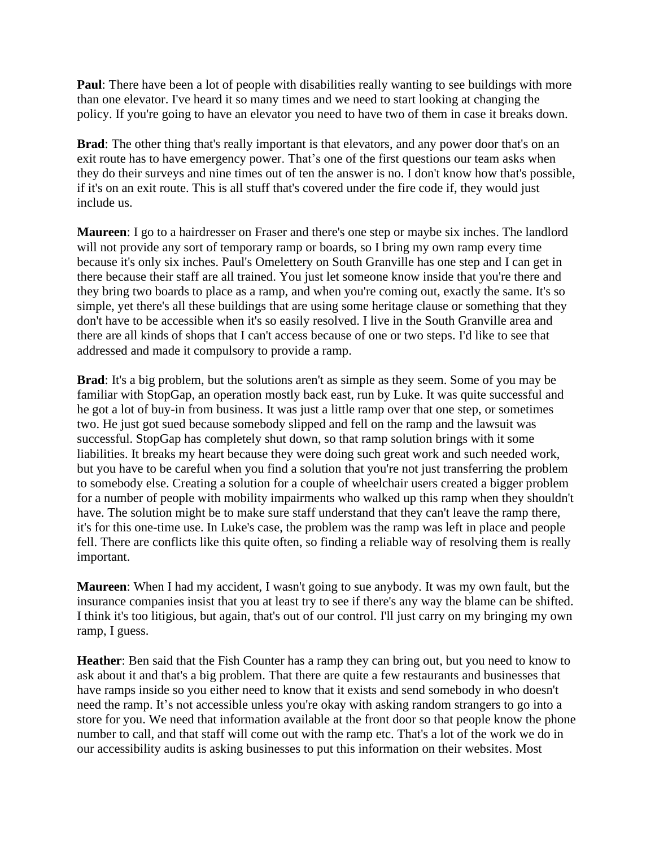**Paul**: There have been a lot of people with disabilities really wanting to see buildings with more than one elevator. I've heard it so many times and we need to start looking at changing the policy. If you're going to have an elevator you need to have two of them in case it breaks down.

**Brad**: The other thing that's really important is that elevators, and any power door that's on an exit route has to have emergency power. That's one of the first questions our team asks when they do their surveys and nine times out of ten the answer is no. I don't know how that's possible, if it's on an exit route. This is all stuff that's covered under the fire code if, they would just include us.

**Maureen**: I go to a hairdresser on Fraser and there's one step or maybe six inches. The landlord will not provide any sort of temporary ramp or boards, so I bring my own ramp every time because it's only six inches. Paul's Omelettery on South Granville has one step and I can get in there because their staff are all trained. You just let someone know inside that you're there and they bring two boards to place as a ramp, and when you're coming out, exactly the same. It's so simple, yet there's all these buildings that are using some heritage clause or something that they don't have to be accessible when it's so easily resolved. I live in the South Granville area and there are all kinds of shops that I can't access because of one or two steps. I'd like to see that addressed and made it compulsory to provide a ramp.

**Brad**: It's a big problem, but the solutions aren't as simple as they seem. Some of you may be familiar with StopGap, an operation mostly back east, run by Luke. It was quite successful and he got a lot of buy-in from business. It was just a little ramp over that one step, or sometimes two. He just got sued because somebody slipped and fell on the ramp and the lawsuit was successful. StopGap has completely shut down, so that ramp solution brings with it some liabilities. It breaks my heart because they were doing such great work and such needed work, but you have to be careful when you find a solution that you're not just transferring the problem to somebody else. Creating a solution for a couple of wheelchair users created a bigger problem for a number of people with mobility impairments who walked up this ramp when they shouldn't have. The solution might be to make sure staff understand that they can't leave the ramp there, it's for this one-time use. In Luke's case, the problem was the ramp was left in place and people fell. There are conflicts like this quite often, so finding a reliable way of resolving them is really important.

**Maureen**: When I had my accident, I wasn't going to sue anybody. It was my own fault, but the insurance companies insist that you at least try to see if there's any way the blame can be shifted. I think it's too litigious, but again, that's out of our control. I'll just carry on my bringing my own ramp, I guess.

**Heather**: Ben said that the Fish Counter has a ramp they can bring out, but you need to know to ask about it and that's a big problem. That there are quite a few restaurants and businesses that have ramps inside so you either need to know that it exists and send somebody in who doesn't need the ramp. It's not accessible unless you're okay with asking random strangers to go into a store for you. We need that information available at the front door so that people know the phone number to call, and that staff will come out with the ramp etc. That's a lot of the work we do in our accessibility audits is asking businesses to put this information on their websites. Most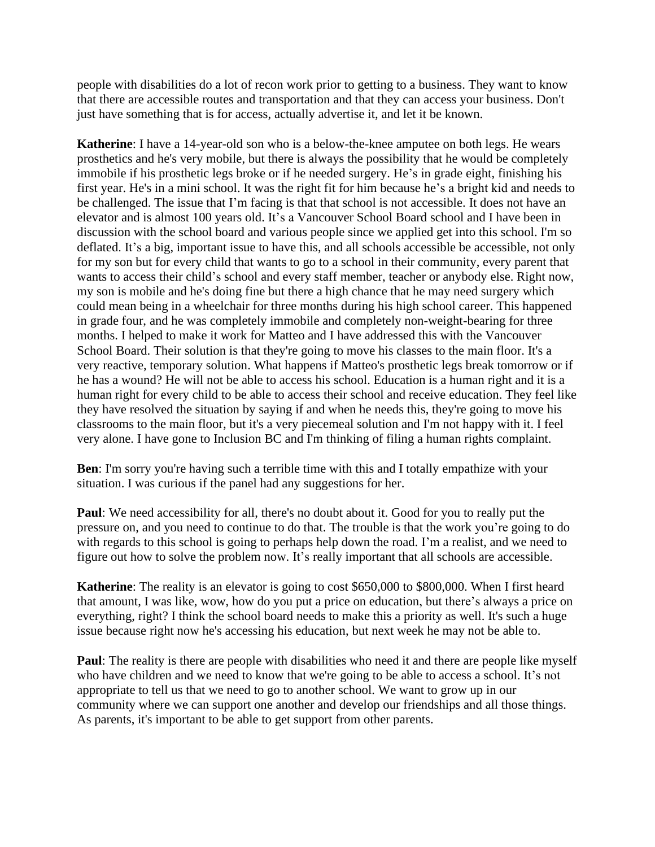people with disabilities do a lot of recon work prior to getting to a business. They want to know that there are accessible routes and transportation and that they can access your business. Don't just have something that is for access, actually advertise it, and let it be known.

**Katherine**: I have a 14-year-old son who is a below-the-knee amputee on both legs. He wears prosthetics and he's very mobile, but there is always the possibility that he would be completely immobile if his prosthetic legs broke or if he needed surgery. He's in grade eight, finishing his first year. He's in a mini school. It was the right fit for him because he's a bright kid and needs to be challenged. The issue that I'm facing is that that school is not accessible. It does not have an elevator and is almost 100 years old. It's a Vancouver School Board school and I have been in discussion with the school board and various people since we applied get into this school. I'm so deflated. It's a big, important issue to have this, and all schools accessible be accessible, not only for my son but for every child that wants to go to a school in their community, every parent that wants to access their child's school and every staff member, teacher or anybody else. Right now, my son is mobile and he's doing fine but there a high chance that he may need surgery which could mean being in a wheelchair for three months during his high school career. This happened in grade four, and he was completely immobile and completely non-weight-bearing for three months. I helped to make it work for Matteo and I have addressed this with the Vancouver School Board. Their solution is that they're going to move his classes to the main floor. It's a very reactive, temporary solution. What happens if Matteo's prosthetic legs break tomorrow or if he has a wound? He will not be able to access his school. Education is a human right and it is a human right for every child to be able to access their school and receive education. They feel like they have resolved the situation by saying if and when he needs this, they're going to move his classrooms to the main floor, but it's a very piecemeal solution and I'm not happy with it. I feel very alone. I have gone to Inclusion BC and I'm thinking of filing a human rights complaint.

**Ben**: I'm sorry you're having such a terrible time with this and I totally empathize with your situation. I was curious if the panel had any suggestions for her.

**Paul**: We need accessibility for all, there's no doubt about it. Good for you to really put the pressure on, and you need to continue to do that. The trouble is that the work you're going to do with regards to this school is going to perhaps help down the road. I'm a realist, and we need to figure out how to solve the problem now. It's really important that all schools are accessible.

**Katherine**: The reality is an elevator is going to cost \$650,000 to \$800,000. When I first heard that amount, I was like, wow, how do you put a price on education, but there's always a price on everything, right? I think the school board needs to make this a priority as well. It's such a huge issue because right now he's accessing his education, but next week he may not be able to.

**Paul**: The reality is there are people with disabilities who need it and there are people like myself who have children and we need to know that we're going to be able to access a school. It's not appropriate to tell us that we need to go to another school. We want to grow up in our community where we can support one another and develop our friendships and all those things. As parents, it's important to be able to get support from other parents.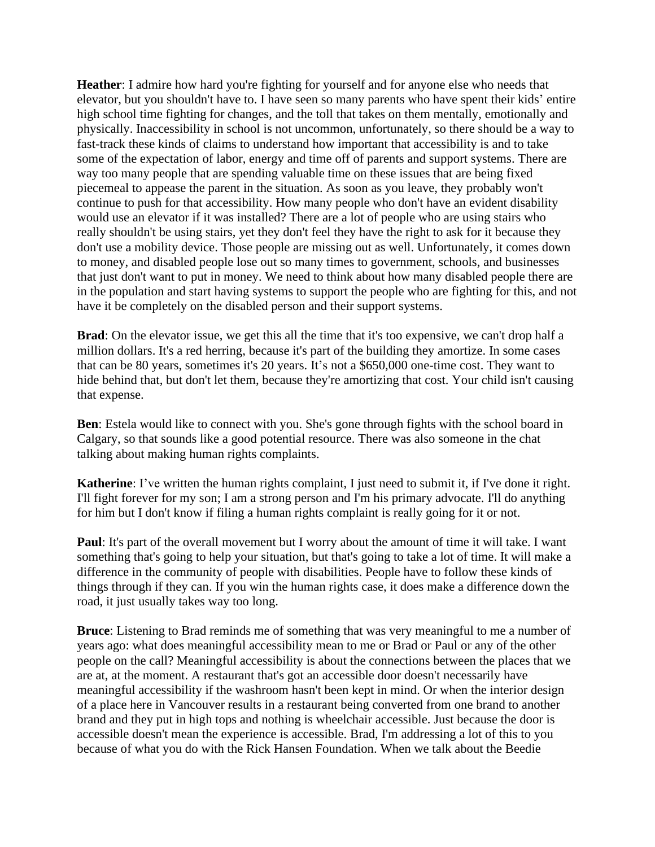**Heather**: I admire how hard you're fighting for yourself and for anyone else who needs that elevator, but you shouldn't have to. I have seen so many parents who have spent their kids' entire high school time fighting for changes, and the toll that takes on them mentally, emotionally and physically. Inaccessibility in school is not uncommon, unfortunately, so there should be a way to fast-track these kinds of claims to understand how important that accessibility is and to take some of the expectation of labor, energy and time off of parents and support systems. There are way too many people that are spending valuable time on these issues that are being fixed piecemeal to appease the parent in the situation. As soon as you leave, they probably won't continue to push for that accessibility. How many people who don't have an evident disability would use an elevator if it was installed? There are a lot of people who are using stairs who really shouldn't be using stairs, yet they don't feel they have the right to ask for it because they don't use a mobility device. Those people are missing out as well. Unfortunately, it comes down to money, and disabled people lose out so many times to government, schools, and businesses that just don't want to put in money. We need to think about how many disabled people there are in the population and start having systems to support the people who are fighting for this, and not have it be completely on the disabled person and their support systems.

**Brad**: On the elevator issue, we get this all the time that it's too expensive, we can't drop half a million dollars. It's a red herring, because it's part of the building they amortize. In some cases that can be 80 years, sometimes it's 20 years. It's not a \$650,000 one-time cost. They want to hide behind that, but don't let them, because they're amortizing that cost. Your child isn't causing that expense.

**Ben**: Estela would like to connect with you. She's gone through fights with the school board in Calgary, so that sounds like a good potential resource. There was also someone in the chat talking about making human rights complaints.

**Katherine:** I've written the human rights complaint, I just need to submit it, if I've done it right. I'll fight forever for my son; I am a strong person and I'm his primary advocate. I'll do anything for him but I don't know if filing a human rights complaint is really going for it or not.

**Paul**: It's part of the overall movement but I worry about the amount of time it will take. I want something that's going to help your situation, but that's going to take a lot of time. It will make a difference in the community of people with disabilities. People have to follow these kinds of things through if they can. If you win the human rights case, it does make a difference down the road, it just usually takes way too long.

**Bruce**: Listening to Brad reminds me of something that was very meaningful to me a number of years ago: what does meaningful accessibility mean to me or Brad or Paul or any of the other people on the call? Meaningful accessibility is about the connections between the places that we are at, at the moment. A restaurant that's got an accessible door doesn't necessarily have meaningful accessibility if the washroom hasn't been kept in mind. Or when the interior design of a place here in Vancouver results in a restaurant being converted from one brand to another brand and they put in high tops and nothing is wheelchair accessible. Just because the door is accessible doesn't mean the experience is accessible. Brad, I'm addressing a lot of this to you because of what you do with the Rick Hansen Foundation. When we talk about the Beedie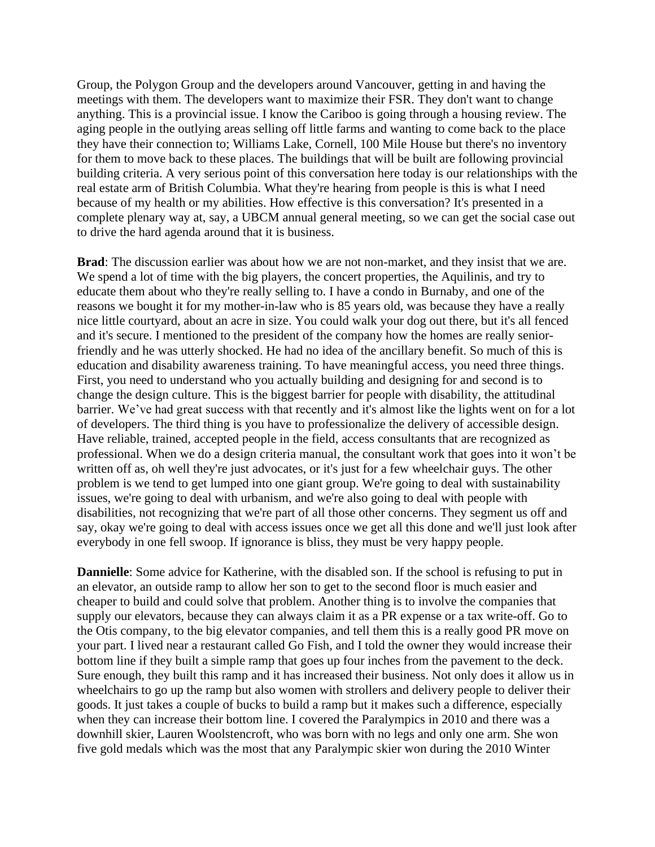Group, the Polygon Group and the developers around Vancouver, getting in and having the meetings with them. The developers want to maximize their FSR. They don't want to change anything. This is a provincial issue. I know the Cariboo is going through a housing review. The aging people in the outlying areas selling off little farms and wanting to come back to the place they have their connection to; Williams Lake, Cornell, 100 Mile House but there's no inventory for them to move back to these places. The buildings that will be built are following provincial building criteria. A very serious point of this conversation here today is our relationships with the real estate arm of British Columbia. What they're hearing from people is this is what I need because of my health or my abilities. How effective is this conversation? It's presented in a complete plenary way at, say, a UBCM annual general meeting, so we can get the social case out to drive the hard agenda around that it is business.

**Brad**: The discussion earlier was about how we are not non-market, and they insist that we are. We spend a lot of time with the big players, the concert properties, the Aquilinis, and try to educate them about who they're really selling to. I have a condo in Burnaby, and one of the reasons we bought it for my mother-in-law who is 85 years old, was because they have a really nice little courtyard, about an acre in size. You could walk your dog out there, but it's all fenced and it's secure. I mentioned to the president of the company how the homes are really seniorfriendly and he was utterly shocked. He had no idea of the ancillary benefit. So much of this is education and disability awareness training. To have meaningful access, you need three things. First, you need to understand who you actually building and designing for and second is to change the design culture. This is the biggest barrier for people with disability, the attitudinal barrier. We've had great success with that recently and it's almost like the lights went on for a lot of developers. The third thing is you have to professionalize the delivery of accessible design. Have reliable, trained, accepted people in the field, access consultants that are recognized as professional. When we do a design criteria manual, the consultant work that goes into it won't be written off as, oh well they're just advocates, or it's just for a few wheelchair guys. The other problem is we tend to get lumped into one giant group. We're going to deal with sustainability issues, we're going to deal with urbanism, and we're also going to deal with people with disabilities, not recognizing that we're part of all those other concerns. They segment us off and say, okay we're going to deal with access issues once we get all this done and we'll just look after everybody in one fell swoop. If ignorance is bliss, they must be very happy people.

**Dannielle**: Some advice for Katherine, with the disabled son. If the school is refusing to put in an elevator, an outside ramp to allow her son to get to the second floor is much easier and cheaper to build and could solve that problem. Another thing is to involve the companies that supply our elevators, because they can always claim it as a PR expense or a tax write-off. Go to the Otis company, to the big elevator companies, and tell them this is a really good PR move on your part. I lived near a restaurant called Go Fish, and I told the owner they would increase their bottom line if they built a simple ramp that goes up four inches from the pavement to the deck. Sure enough, they built this ramp and it has increased their business. Not only does it allow us in wheelchairs to go up the ramp but also women with strollers and delivery people to deliver their goods. It just takes a couple of bucks to build a ramp but it makes such a difference, especially when they can increase their bottom line. I covered the Paralympics in 2010 and there was a downhill skier, Lauren Woolstencroft, who was born with no legs and only one arm. She won five gold medals which was the most that any Paralympic skier won during the 2010 Winter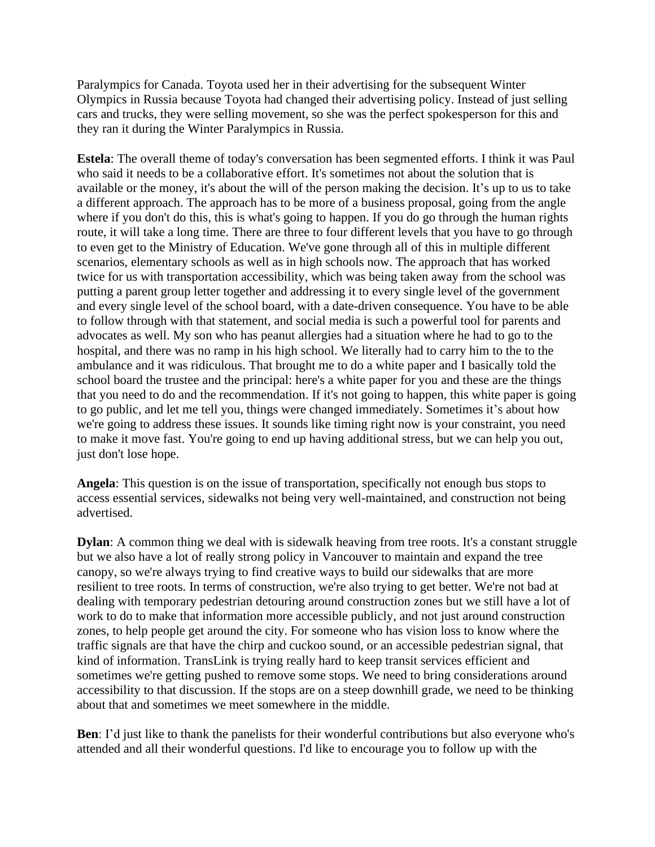Paralympics for Canada. Toyota used her in their advertising for the subsequent Winter Olympics in Russia because Toyota had changed their advertising policy. Instead of just selling cars and trucks, they were selling movement, so she was the perfect spokesperson for this and they ran it during the Winter Paralympics in Russia.

**Estela**: The overall theme of today's conversation has been segmented efforts. I think it was Paul who said it needs to be a collaborative effort. It's sometimes not about the solution that is available or the money, it's about the will of the person making the decision. It's up to us to take a different approach. The approach has to be more of a business proposal, going from the angle where if you don't do this, this is what's going to happen. If you do go through the human rights route, it will take a long time. There are three to four different levels that you have to go through to even get to the Ministry of Education. We've gone through all of this in multiple different scenarios, elementary schools as well as in high schools now. The approach that has worked twice for us with transportation accessibility, which was being taken away from the school was putting a parent group letter together and addressing it to every single level of the government and every single level of the school board, with a date-driven consequence. You have to be able to follow through with that statement, and social media is such a powerful tool for parents and advocates as well. My son who has peanut allergies had a situation where he had to go to the hospital, and there was no ramp in his high school. We literally had to carry him to the to the ambulance and it was ridiculous. That brought me to do a white paper and I basically told the school board the trustee and the principal: here's a white paper for you and these are the things that you need to do and the recommendation. If it's not going to happen, this white paper is going to go public, and let me tell you, things were changed immediately. Sometimes it's about how we're going to address these issues. It sounds like timing right now is your constraint, you need to make it move fast. You're going to end up having additional stress, but we can help you out, just don't lose hope.

**Angela**: This question is on the issue of transportation, specifically not enough bus stops to access essential services, sidewalks not being very well-maintained, and construction not being advertised.

**Dylan**: A common thing we deal with is sidewalk heaving from tree roots. It's a constant struggle but we also have a lot of really strong policy in Vancouver to maintain and expand the tree canopy, so we're always trying to find creative ways to build our sidewalks that are more resilient to tree roots. In terms of construction, we're also trying to get better. We're not bad at dealing with temporary pedestrian detouring around construction zones but we still have a lot of work to do to make that information more accessible publicly, and not just around construction zones, to help people get around the city. For someone who has vision loss to know where the traffic signals are that have the chirp and cuckoo sound, or an accessible pedestrian signal, that kind of information. TransLink is trying really hard to keep transit services efficient and sometimes we're getting pushed to remove some stops. We need to bring considerations around accessibility to that discussion. If the stops are on a steep downhill grade, we need to be thinking about that and sometimes we meet somewhere in the middle.

**Ben**: I'd just like to thank the panelists for their wonderful contributions but also everyone who's attended and all their wonderful questions. I'd like to encourage you to follow up with the